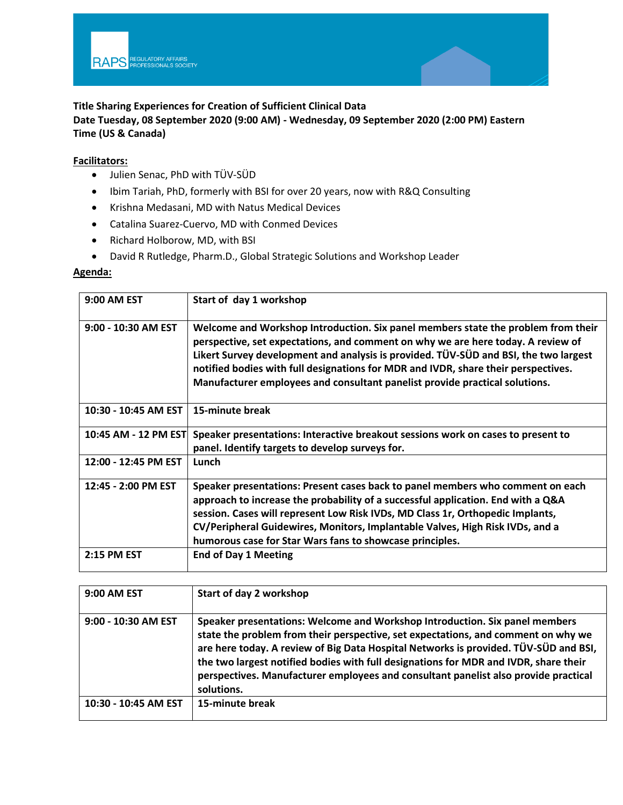

## **Title Sharing Experiences for Creation of Sufficient Clinical Data**

**Date Tuesday, 08 September 2020 (9:00 AM) - Wednesday, 09 September 2020 (2:00 PM) Eastern Time (US & Canada)**

## **Facilitators:**

- Julien Senac, PhD with TÜV-SÜD
- Ibim Tariah, PhD, formerly with BSI for over 20 years, now with R&Q Consulting
- Krishna Medasani, MD with Natus Medical Devices
- Catalina Suarez-Cuervo, MD with Conmed Devices
- Richard Holborow, MD, with BSI
- David R Rutledge, Pharm.D., Global Strategic Solutions and Workshop Leader

## **Agenda:**

| <b>9:00 AM EST</b>   | Start of day 1 workshop                                                                                                                                                                                                                                                                                                                                                                                                            |
|----------------------|------------------------------------------------------------------------------------------------------------------------------------------------------------------------------------------------------------------------------------------------------------------------------------------------------------------------------------------------------------------------------------------------------------------------------------|
| 9:00 - 10:30 AM EST  | Welcome and Workshop Introduction. Six panel members state the problem from their<br>perspective, set expectations, and comment on why we are here today. A review of<br>Likert Survey development and analysis is provided. TÜV-SÜD and BSI, the two largest<br>notified bodies with full designations for MDR and IVDR, share their perspectives.<br>Manufacturer employees and consultant panelist provide practical solutions. |
| 10:30 - 10:45 AM EST | 15-minute break                                                                                                                                                                                                                                                                                                                                                                                                                    |
| 10:45 AM - 12 PM EST | Speaker presentations: Interactive breakout sessions work on cases to present to<br>panel. Identify targets to develop surveys for.                                                                                                                                                                                                                                                                                                |
| 12:00 - 12:45 PM EST | Lunch                                                                                                                                                                                                                                                                                                                                                                                                                              |
| 12:45 - 2:00 PM EST  | Speaker presentations: Present cases back to panel members who comment on each<br>approach to increase the probability of a successful application. End with a Q&A<br>session. Cases will represent Low Risk IVDs, MD Class 1r, Orthopedic Implants,<br>CV/Peripheral Guidewires, Monitors, Implantable Valves, High Risk IVDs, and a<br>humorous case for Star Wars fans to showcase principles.                                  |
| 2:15 PM EST          | <b>End of Day 1 Meeting</b>                                                                                                                                                                                                                                                                                                                                                                                                        |

| 9:00 AM EST          | Start of day 2 workshop                                                                                                                                                                                                                                                                                                                                                                                                                               |
|----------------------|-------------------------------------------------------------------------------------------------------------------------------------------------------------------------------------------------------------------------------------------------------------------------------------------------------------------------------------------------------------------------------------------------------------------------------------------------------|
| 9:00 - 10:30 AM EST  | Speaker presentations: Welcome and Workshop Introduction. Six panel members<br>state the problem from their perspective, set expectations, and comment on why we<br>are here today. A review of Big Data Hospital Networks is provided. TÜV-SÜD and BSI,<br>the two largest notified bodies with full designations for MDR and IVDR, share their<br>perspectives. Manufacturer employees and consultant panelist also provide practical<br>solutions. |
| 10:30 - 10:45 AM EST | 15-minute break                                                                                                                                                                                                                                                                                                                                                                                                                                       |